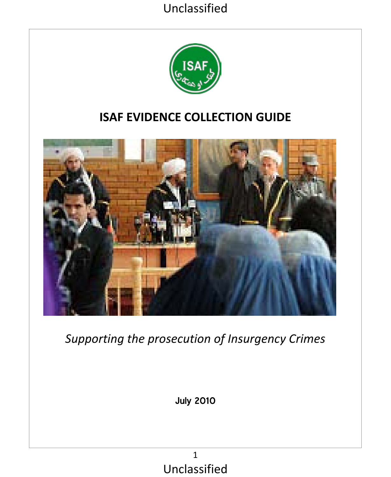

## **ISAF EVIDENCE COLLECTION GUIDE**



*Supporting the prosecution of Insurgency Crimes*

July 2010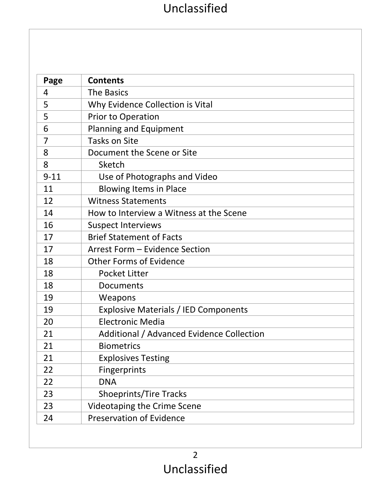| Page     | <b>Contents</b>                           |
|----------|-------------------------------------------|
| 4        | <b>The Basics</b>                         |
| 5        | Why Evidence Collection is Vital          |
| 5        | Prior to Operation                        |
| 6        | Planning and Equipment                    |
| 7        | Tasks on Site                             |
| 8        | Document the Scene or Site                |
| 8        | Sketch                                    |
| $9 - 11$ | Use of Photographs and Video              |
| 11       | <b>Blowing Items in Place</b>             |
| 12       | <b>Witness Statements</b>                 |
| 14       | How to Interview a Witness at the Scene   |
| 16       | <b>Suspect Interviews</b>                 |
| 17       | <b>Brief Statement of Facts</b>           |
| 17       | Arrest Form - Evidence Section            |
| 18       | Other Forms of Evidence                   |
| 18       | Pocket Litter                             |
| 18       | Documents                                 |
| 19       | Weapons                                   |
| 19       | Explosive Materials / IED Components      |
| 20       | Electronic Media                          |
| 21       | Additional / Advanced Evidence Collection |
| 21       | <b>Biometrics</b>                         |
| 21       | <b>Explosives Testing</b>                 |
| 22       | Fingerprints                              |
| 22       | <b>DNA</b>                                |
| 23       | Shoeprints/Tire Tracks                    |
| 23       | Videotaping the Crime Scene               |
| 24       | Preservation of Evidence                  |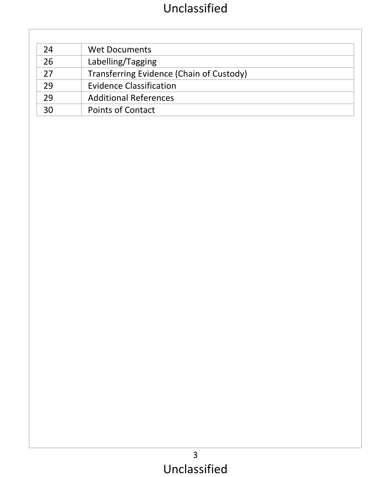| 24 | Wet Documents                            |
|----|------------------------------------------|
| 26 | Labelling/Tagging                        |
| 27 | Transferring Evidence (Chain of Custody) |
| 29 | <b>Evidence Classification</b>           |
| 29 | <b>Additional References</b>             |
| 30 | Points of Contact                        |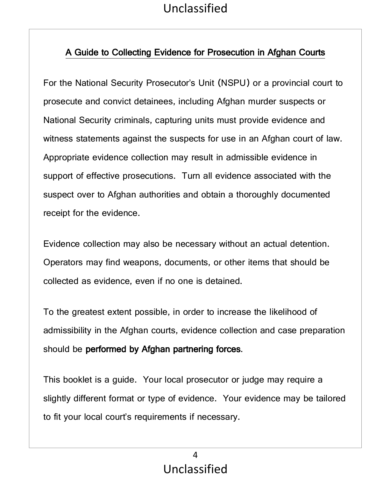## A Guide to Collecting Evidence for Prosecution in Afghan Courts

For the National Security Prosecutor's Unit (NSPU) or a provincial court to prosecute and convict detainees, including Afghan murder suspects or National Security criminals, capturing units must provide evidence and witness statements against the suspects for use in an Afghan court of law. Appropriate evidence collection may result in admissible evidence in support of effective prosecutions. Turn all evidence associated with the suspect over to Afghan authorities and obtain a thoroughly documented receipt for the evidence.

Evidence collection may also be necessary without an actual detention. Operators may find weapons, documents, or other items that should be collected as evidence, even if no one is detained.

To the greatest extent possible, in order to increase the likelihood of admissibility in the Afghan courts, evidence collection and case preparation should be performed by Afghan partnering forces.

This booklet is a guide. Your local prosecutor or judge may require a slightly different format or type of evidence. Your evidence may be tailored to fit your local court's requirements if necessary.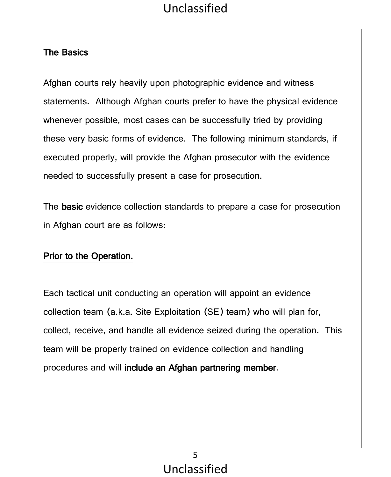#### The Basics

Afghan courts rely heavily upon photographic evidence and witness statements. Although Afghan courts prefer to have the physical evidence whenever possible, most cases can be successfully tried by providing these very basic forms of evidence. The following minimum standards, if executed properly, will provide the Afghan prosecutor with the evidence needed to successfully present a case for prosecution.

The basic evidence collection standards to prepare a case for prosecution in Afghan court are as follows:

## Prior to the Operation.

Each tactical unit conducting an operation will appoint an evidence collection team (a.k.a. Site Exploitation (SE) team) who will plan for, collect, receive, and handle all evidence seized during the operation. This team will be properly trained on evidence collection and handling procedures and will include an Afghan partnering member.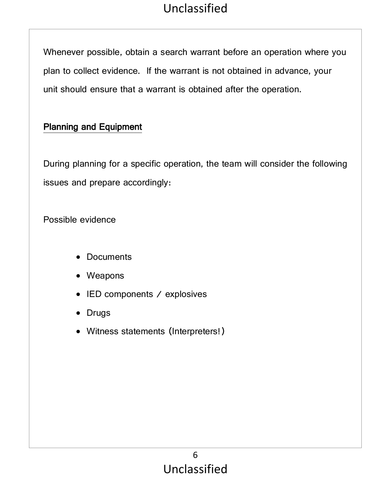Whenever possible, obtain a search warrant before an operation where you plan to collect evidence. If the warrant is not obtained in advance, your unit should ensure that a warrant is obtained after the operation.

#### Planning and Equipment

During planning for a specific operation, the team will consider the following issues and prepare accordingly:

Possible evidence

- Documents
- Weapons
- IED components / explosives
- Drugs
- Witness statements (Interpreters!)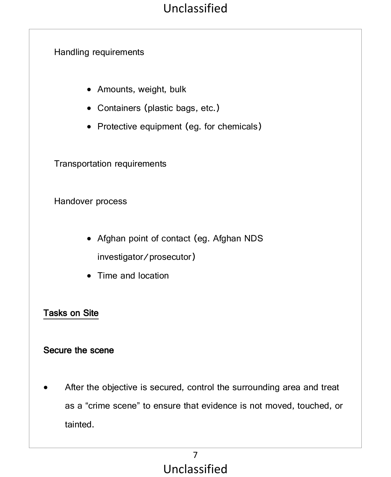#### Handling requirements

- Amounts, weight, bulk
- Containers (plastic bags, etc.)
- Protective equipment (eg. for chemicals)

Transportation requirements

Handover process

- Afghan point of contact (eg. Afghan NDS investigator/prosecutor)
- Time and location

#### Tasks on Site

#### Secure the scene

After the objective is secured, control the surrounding area and treat as a "crime scene" to ensure that evidence is not moved, touched, or tainted.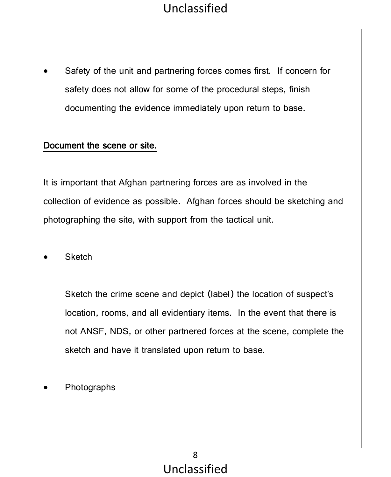Safety of the unit and partnering forces comes first. If concern for safety does not allow for some of the procedural steps, finish documenting the evidence immediately upon return to base.

#### Document the scene or site.

It is important that Afghan partnering forces are as involved in the collection of evidence as possible. Afghan forces should be sketching and photographing the site, with support from the tactical unit.

• Sketch

Sketch the crime scene and depict (label) the location of suspect's location, rooms, and all evidentiary items. In the event that there is not ANSF, NDS, or other partnered forces at the scene, complete the sketch and have it translated upon return to base.

• Photographs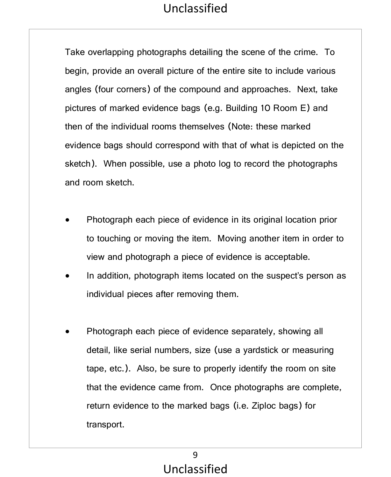Take overlapping photographs detailing the scene of the crime. To begin, provide an overall picture of the entire site to include various angles (four corners) of the compound and approaches. Next, take pictures of marked evidence bags (e.g. Building 10 Room E) and then of the individual rooms themselves (Note: these marked evidence bags should correspond with that of what is depicted on the sketch). When possible, use a photo log to record the photographs and room sketch.

- Photograph each piece of evidence in its original location prior to touching or moving the item. Moving another item in order to view and photograph a piece of evidence is acceptable.
- In addition, photograph items located on the suspect's person as individual pieces after removing them.
- Photograph each piece of evidence separately, showing all detail, like serial numbers, size (use a yardstick or measuring tape, etc.). Also, be sure to properly identify the room on site that the evidence came from. Once photographs are complete, return evidence to the marked bags (i.e. Ziploc bags) for transport.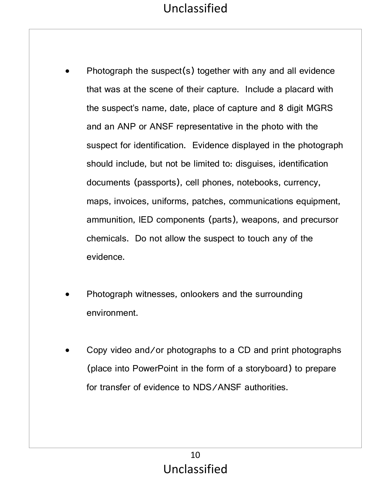- Photograph the suspect(s) together with any and all evidence that was at the scene of their capture. Include a placard with the suspect's name, date, place of capture and 8 digit MGRS and an ANP or ANSF representative in the photo with the suspect for identification. Evidence displayed in the photograph should include, but not be limited to: disguises, identification documents (passports), cell phones, notebooks, currency, maps, invoices, uniforms, patches, communications equipment, ammunition, IED components (parts), weapons, and precursor chemicals. Do not allow the suspect to touch any of the evidence.
- Photograph witnesses, onlookers and the surrounding environment.
- Copy video and/or photographs to a CD and print photographs (place into PowerPoint in the form of a storyboard) to prepare for transfer of evidence to NDS/ANSF authorities.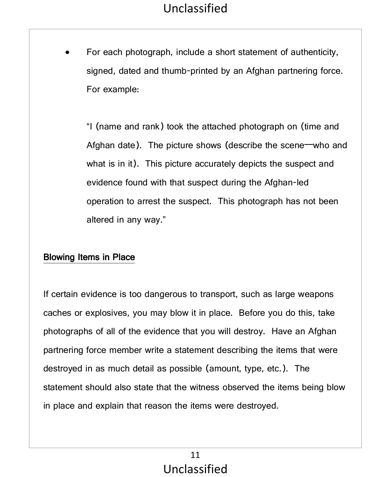For each photograph, include a short statement of authenticity, signed, dated and thumb-printed by an Afghan partnering force. For example:

"I (name and rank) took the attached photograph on (time and Afghan date). The picture shows (describe the scene—who and what is in it). This picture accurately depicts the suspect and evidence found with that suspect during the Afghan-led operation to arrest the suspect. This photograph has not been altered in any way."

#### Blowing Items in Place

If certain evidence is too dangerous to transport, such as large weapons caches or explosives, you may blow it in place. Before you do this, take photographs of all of the evidence that you will destroy. Have an Afghan partnering force member write a statement describing the items that were destroyed in as much detail as possible (amount, type, etc.). The statement should also state that the witness observed the items being blow in place and explain that reason the items were destroyed.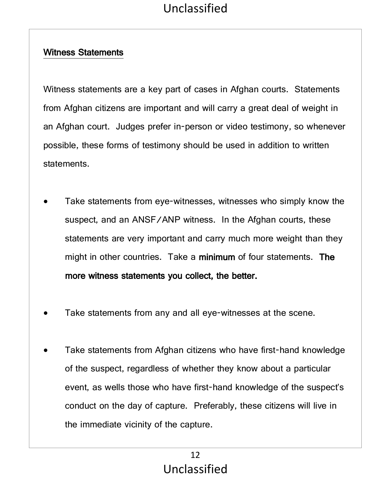#### Witness Statements

Witness statements are a key part of cases in Afghan courts. Statements from Afghan citizens are important and will carry a great deal of weight in an Afghan court. Judges prefer in-person or video testimony, so whenever possible, these forms of testimony should be used in addition to written statements.

- Take statements from eye-witnesses, witnesses who simply know the suspect, and an ANSF/ANP witness. In the Afghan courts, these statements are very important and carry much more weight than they might in other countries. Take a minimum of four statements. The more witness statements you collect, the better.
- Take statements from any and all eye-witnesses at the scene.
- Take statements from Afghan citizens who have first-hand knowledge of the suspect, regardless of whether they know about a particular event, as wells those who have first-hand knowledge of the suspect's conduct on the day of capture. Preferably, these citizens will live in the immediate vicinity of the capture.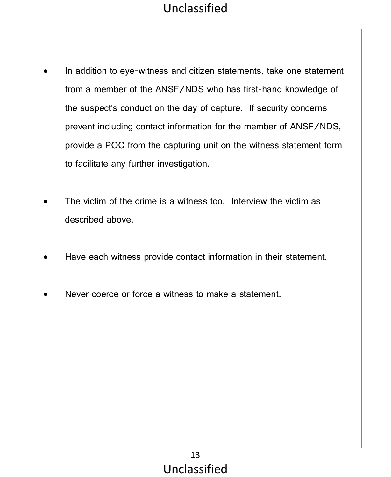- In addition to eye-witness and citizen statements, take one statement from a member of the ANSF/NDS who has first-hand knowledge of the suspect's conduct on the day of capture. If security concerns prevent including contact information for the member of ANSF/NDS, provide a POC from the capturing unit on the witness statement form to facilitate any further investigation.
- The victim of the crime is a witness too. Interview the victim as described above.
- Have each witness provide contact information in their statement.
- Never coerce or force a witness to make a statement.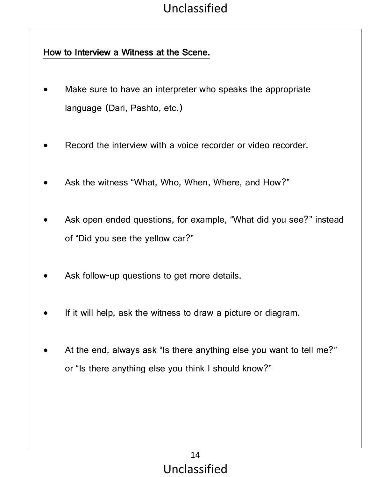### How to Interview a Witness at the Scene.

- Make sure to have an interpreter who speaks the appropriate language (Dari, Pashto, etc.)
- Record the interview with a voice recorder or video recorder.
- Ask the witness "What, Who, When, Where, and How?"
- Ask open ended questions, for example, "What did you see?" instead of "Did you see the yellow car?"
- Ask follow-up questions to get more details.
- If it will help, ask the witness to draw a picture or diagram.
- At the end, always ask "Is there anything else you want to tell me?" or "Is there anything else you think I should know?"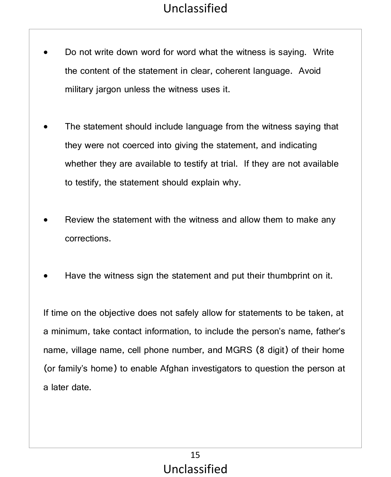- Do not write down word for word what the witness is saying. Write the content of the statement in clear, coherent language. Avoid military jargon unless the witness uses it.
- The statement should include language from the witness saying that they were not coerced into giving the statement, and indicating whether they are available to testify at trial. If they are not available to testify, the statement should explain why.
- Review the statement with the witness and allow them to make any corrections.
- Have the witness sign the statement and put their thumbprint on it.

If time on the objective does not safely allow for statements to be taken, at a minimum, take contact information, to include the person's name, father's name, village name, cell phone number, and MGRS (8 digit) of their home (or family's home) to enable Afghan investigators to question the person at a later date.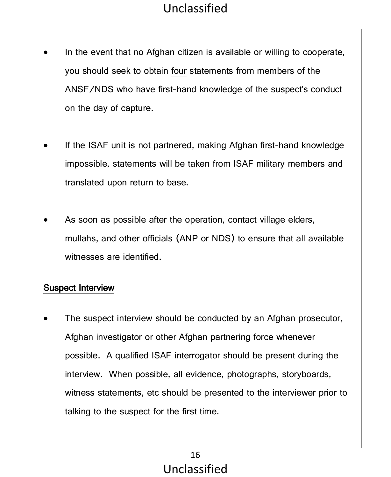- In the event that no Afghan citizen is available or willing to cooperate, you should seek to obtain four statements from members of the ANSF/NDS who have first-hand knowledge of the suspect's conduct on the day of capture.
- If the ISAF unit is not partnered, making Afghan first-hand knowledge impossible, statements will be taken from ISAF military members and translated upon return to base.
- As soon as possible after the operation, contact village elders, mullahs, and other officials (ANP or NDS) to ensure that all available witnesses are identified.

#### Suspect Interview

The suspect interview should be conducted by an Afghan prosecutor, Afghan investigator or other Afghan partnering force whenever possible. A qualified ISAF interrogator should be present during the interview. When possible, all evidence, photographs, storyboards, witness statements, etc should be presented to the interviewer prior to talking to the suspect for the first time.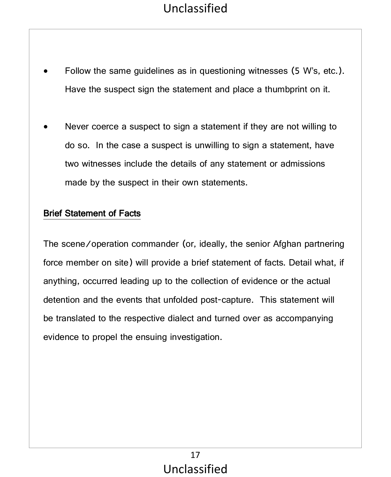- Follow the same guidelines as in questioning witnesses (5 W's, etc.). Have the suspect sign the statement and place a thumbprint on it.
- Never coerce a suspect to sign a statement if they are not willing to do so. In the case a suspect is unwilling to sign a statement, have two witnesses include the details of any statement or admissions made by the suspect in their own statements.

#### Brief Statement of Facts

The scene/operation commander (or, ideally, the senior Afghan partnering force member on site) will provide a brief statement of facts. Detail what, if anything, occurred leading up to the collection of evidence or the actual detention and the events that unfolded post-capture. This statement will be translated to the respective dialect and turned over as accompanying evidence to propel the ensuing investigation.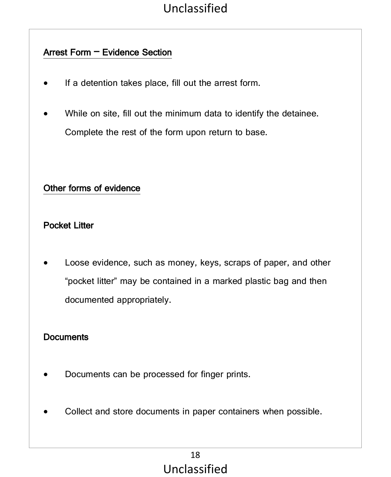## Arrest Form – Evidence Section

- If a detention takes place, fill out the arrest form.
- While on site, fill out the minimum data to identify the detainee. Complete the rest of the form upon return to base.

#### Other forms of evidence

#### Pocket Litter

Loose evidence, such as money, keys, scraps of paper, and other "pocket litter" may be contained in a marked plastic bag and then documented appropriately.

#### **Documents**

- Documents can be processed for finger prints.
- Collect and store documents in paper containers when possible.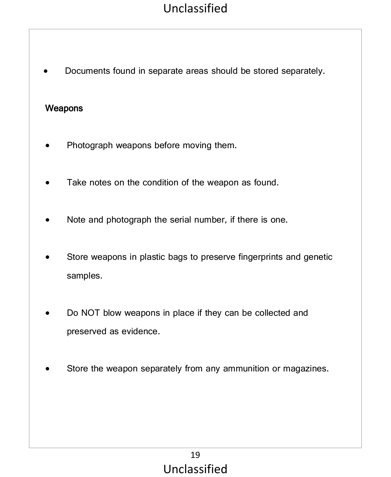• Documents found in separate areas should be stored separately.

#### Weapons

- Photograph weapons before moving them.
- Take notes on the condition of the weapon as found.
- Note and photograph the serial number, if there is one.
- Store weapons in plastic bags to preserve fingerprints and genetic samples.
- Do NOT blow weapons in place if they can be collected and preserved as evidence.
- Store the weapon separately from any ammunition or magazines.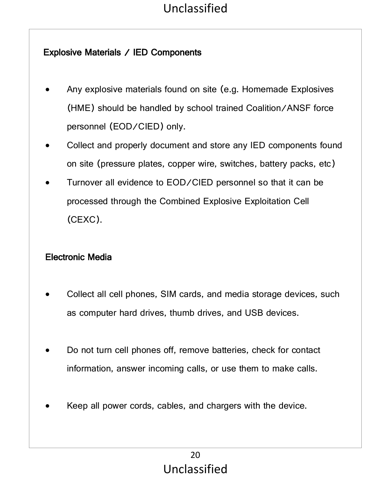### Explosive Materials / IED Components

- Any explosive materials found on site (e.g. Homemade Explosives (HME) should be handled by school trained Coalition/ANSF force personnel (EOD/CIED) only.
- Collect and properly document and store any IED components found on site (pressure plates, copper wire, switches, battery packs, etc)
- Turnover all evidence to EOD/CIED personnel so that it can be processed through the Combined Explosive Exploitation Cell (CEXC).

### Electronic Media

- Collect all cell phones, SIM cards, and media storage devices, such as computer hard drives, thumb drives, and USB devices.
- Do not turn cell phones off, remove batteries, check for contact information, answer incoming calls, or use them to make calls.
- Keep all power cords, cables, and chargers with the device.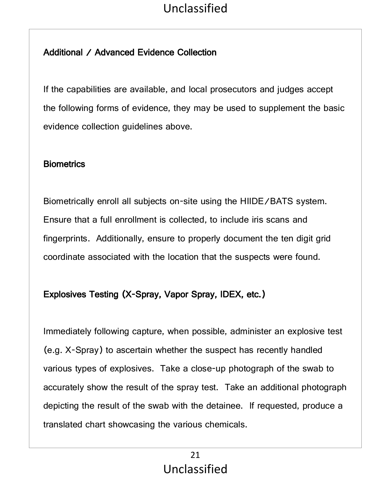## Additional / Advanced Evidence Collection

If the capabilities are available, and local prosecutors and judges accept the following forms of evidence, they may be used to supplement the basic evidence collection guidelines above.

#### **Biometrics**

Biometrically enroll all subjects on-site using the HIIDE/BATS system. Ensure that a full enrollment is collected, to include iris scans and fingerprints. Additionally, ensure to properly document the ten digit grid coordinate associated with the location that the suspects were found.

## Explosives Testing (X-Spray, Vapor Spray, IDEX, etc.)

Immediately following capture, when possible, administer an explosive test (e.g. X-Spray) to ascertain whether the suspect has recently handled various types of explosives. Take a close-up photograph of the swab to accurately show the result of the spray test. Take an additional photograph depicting the result of the swab with the detainee. If requested, produce a translated chart showcasing the various chemicals.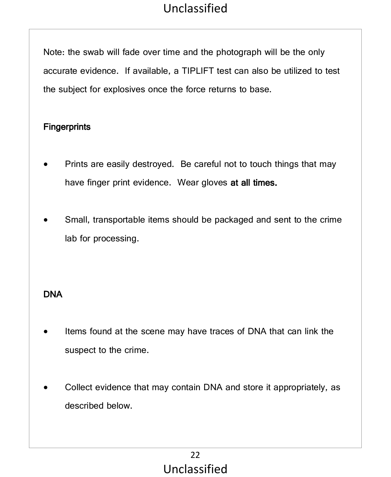Note: the swab will fade over time and the photograph will be the only accurate evidence. If available, a TIPLIFT test can also be utilized to test the subject for explosives once the force returns to base.

#### **Fingerprints**

- Prints are easily destroyed. Be careful not to touch things that may have finger print evidence. Wear gloves at all times.
- Small, transportable items should be packaged and sent to the crime lab for processing.

### DNA

- Items found at the scene may have traces of DNA that can link the suspect to the crime.
- Collect evidence that may contain DNA and store it appropriately, as described below.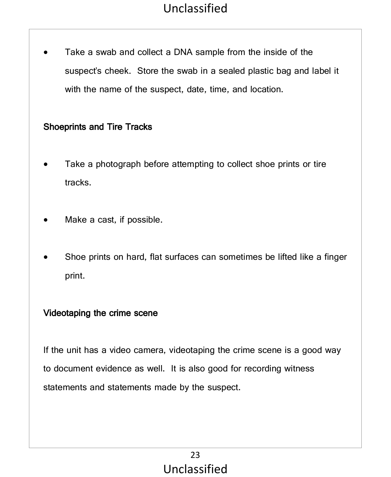Take a swab and collect a DNA sample from the inside of the suspect's cheek. Store the swab in a sealed plastic bag and label it with the name of the suspect, date, time, and location.

#### Shoeprints and Tire Tracks

- Take a photograph before attempting to collect shoe prints or tire tracks.
- Make a cast, if possible.
- Shoe prints on hard, flat surfaces can sometimes be lifted like a finger print.

#### Videotaping the crime scene

If the unit has a video camera, videotaping the crime scene is a good way to document evidence as well. It is also good for recording witness statements and statements made by the suspect.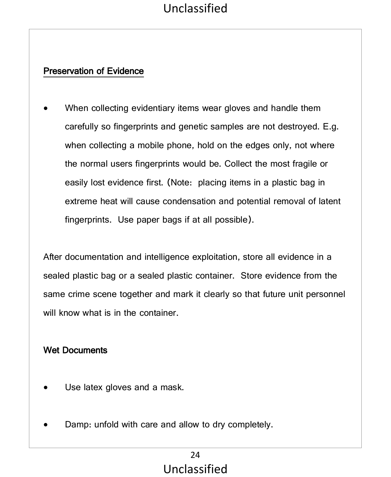### Preservation of Evidence

When collecting evidentiary items wear gloves and handle them carefully so fingerprints and genetic samples are not destroyed. E.g. when collecting a mobile phone, hold on the edges only, not where the normal users fingerprints would be. Collect the most fragile or easily lost evidence first. (Note: placing items in a plastic bag in extreme heat will cause condensation and potential removal of latent fingerprints. Use paper bags if at all possible).

After documentation and intelligence exploitation, store all evidence in a sealed plastic bag or a sealed plastic container. Store evidence from the same crime scene together and mark it clearly so that future unit personnel will know what is in the container.

### Wet Documents

- Use latex gloves and a mask.
- Damp: unfold with care and allow to dry completely.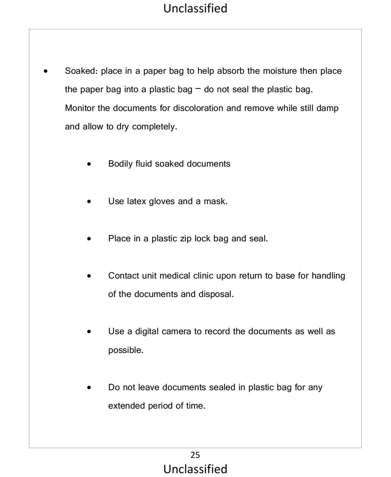- Soaked: place in a paper bag to help absorb the moisture then place the paper bag into a plastic bag  $-$  do not seal the plastic bag. Monitor the documents for discoloration and remove while still damp and allow to dry completely.
	- Bodily fluid soaked documents
	- Use latex gloves and a mask.
	- Place in a plastic zip lock bag and seal.
	- Contact unit medical clinic upon return to base for handling of the documents and disposal.
	- Use a digital camera to record the documents as well as possible.
	- Do not leave documents sealed in plastic bag for any extended period of time.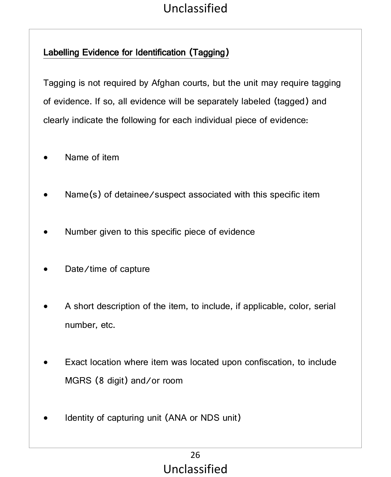## Labelling Evidence for Identification (Tagging)

Tagging is not required by Afghan courts, but the unit may require tagging of evidence. If so, all evidence will be separately labeled (tagged) and clearly indicate the following for each individual piece of evidence:

- Name of item
- Name(s) of detainee/suspect associated with this specific item
- Number given to this specific piece of evidence
- Date/time of capture
- A short description of the item, to include, if applicable, color, serial number, etc.
- Exact location where item was located upon confiscation, to include MGRS (8 digit) and/or room
- Identity of capturing unit (ANA or NDS unit)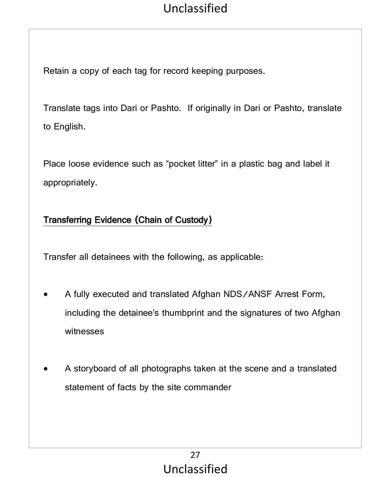Retain a copy of each tag for record keeping purposes.

Translate tags into Dari or Pashto. If originally in Dari or Pashto, translate to English.

Place loose evidence such as "pocket litter" in a plastic bag and label it appropriately.

### Transferring Evidence (Chain of Custody)

Transfer all detainees with the following, as applicable:

- A fully executed and translated Afghan NDS/ANSF Arrest Form, including the detainee's thumbprint and the signatures of two Afghan witnesses
- A storyboard of all photographs taken at the scene and a translated statement of facts by the site commander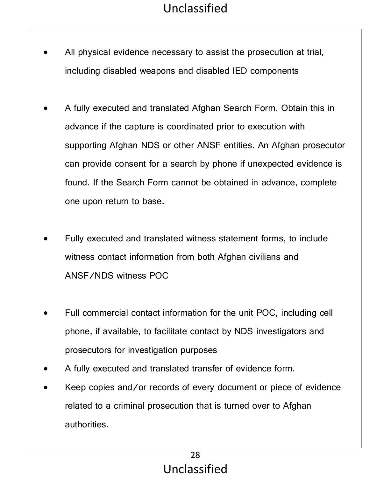- All physical evidence necessary to assist the prosecution at trial, including disabled weapons and disabled IED components
- A fully executed and translated Afghan Search Form. Obtain this in advance if the capture is coordinated prior to execution with supporting Afghan NDS or other ANSF entities. An Afghan prosecutor can provide consent for a search by phone if unexpected evidence is found. If the Search Form cannot be obtained in advance, complete one upon return to base.
- Fully executed and translated witness statement forms, to include witness contact information from both Afghan civilians and ANSF/NDS witness POC
- Full commercial contact information for the unit POC, including cell phone, if available, to facilitate contact by NDS investigators and prosecutors for investigation purposes
- A fully executed and translated transfer of evidence form.
- Keep copies and/or records of every document or piece of evidence related to a criminal prosecution that is turned over to Afghan authorities.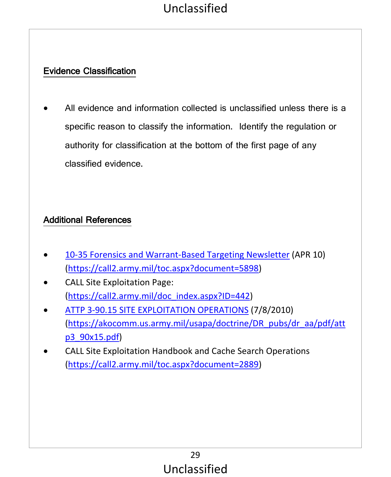## Evidence Classification

• All evidence and information collected is unclassified unless there is a specific reason to classify the information. Identify the regulation or authority for classification at the bottom of the first page of any classified evidence.

### Additional References

- 10-35 Forensics and Warrant-Based Targeting Newsletter (APR 10) (https://call2.army.mil/toc.aspx?document=5898)
- CALL Site Exploitation Page: (https://call2.army.mil/doc\_index.aspx?ID=442)
- ATTP 3-90.15 SITE EXPLOITATION OPERATIONS (7/8/2010) (https://akocomm.us.army.mil/usapa/doctrine/DR\_pubs/dr\_aa/pdf/att p3\_90x15.pdf)
- CALL Site Exploitation Handbook and Cache Search Operations (https://call2.army.mil/toc.aspx?document=2889)